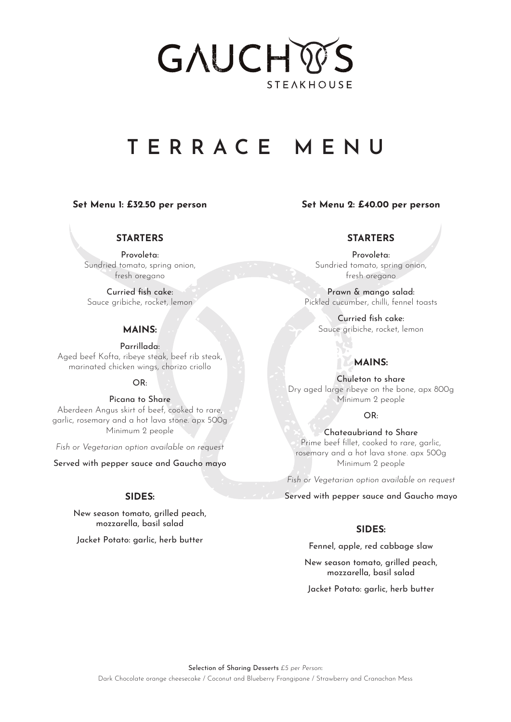# GAUCH **STEAKHOUSE**

### **TERRACE MENU**

#### **Set Menu 1: £32.50 per person**

#### **Set Menu 2: £40.00 per person**

#### **STARTERS**

Provoleta: Sundried tomato, spring onion, fresh oregano

Curried fish cake: Sauce gribiche, rocket, lemon

#### **MAINS:**

Parrillada: Aged beef Kofta, ribeye steak, beef rib steak, marinated chicken wings, chorizo criollo

#### OR:

Picana to Share Aberdeen Angus skirt of beef, cooked to rare, garlic, rosemary and a hot lava stone. apx 500g Minimum 2 people

*Fish or Vegetarian option available on request*

Served with pepper sauce and Gaucho mayo

#### **SIDES:**

New season tomato, grilled peach, mozzarella, basil salad

Jacket Potato: garlic, herb butter

#### **STARTERS**

Provoleta: Sundried tomato, spring onion, fresh oregano

Prawn & mango salad: Pickled cucumber, chilli, fennel toasts

> Curried fish cake: Sauce gribiche, rocket, lemon

#### **MAINS:**

Chuleton to share Dry aged large ribeye on the bone, apx 800g Minimum 2 people

 $OR.$ 

Chateaubriand to Share Prime beef fillet, cooked to rare, garlic, rosemary and a hot lava stone. apx 500g Minimum 2 people

*Fish or Vegetarian option available on request*

Served with pepper sauce and Gaucho mayo

#### **SIDES:**

Fennel, apple, red cabbage slaw

New season tomato, grilled peach, mozzarella, basil salad

Jacket Potato: garlic, herb butter